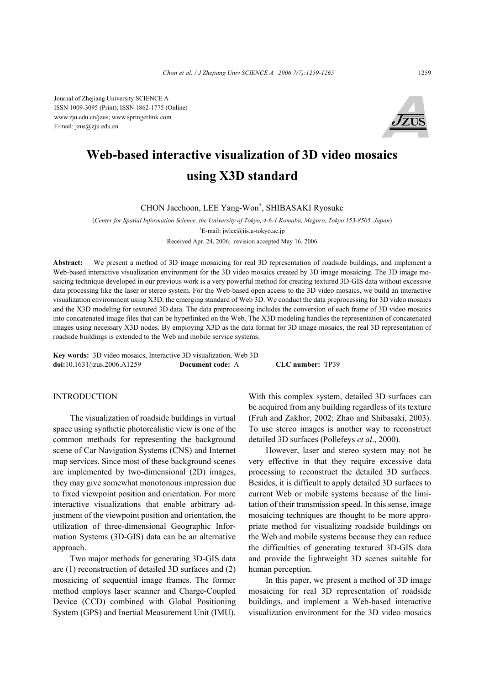Journal of Zhejiang University SCIENCE A ISSN 1009-3095 (Print); ISSN 1862-1775 (Online) www.zju.edu.cn/jzus; www.springerlink.com E-mail: jzus@zju.edu.cn



# **Web-based interactive visualization of 3D video mosaics using X3D standard**

CHON Jaechoon, LEE Yang-Won† , SHIBASAKI Ryosuke

(*Center for Spatial Information Science, the University of Tokyo, 4-6-1 Komaba, Meguro, Tokyo 153-8505, Japan*) † E-mail: jwlee@iis.u-tokyo.ac.jp

Received Apr. 24, 2006; revision accepted May 16, 2006

**Abstract:** We present a method of 3D image mosaicing for real 3D representation of roadside buildings, and implement a Web-based interactive visualization environment for the 3D video mosaics created by 3D image mosaicing. The 3D image mosaicing technique developed in our previous work is a very powerful method for creating textured 3D-GIS data without excessive data processing like the laser or stereo system. For the Web-based open access to the 3D video mosaics, we build an interactive visualization environment using X3D, the emerging standard of Web 3D. We conduct the data preprocessing for 3D video mosaics and the X3D modeling for textured 3D data. The data preprocessing includes the conversion of each frame of 3D video mosaics into concatenated image files that can be hyperlinked on the Web. The X3D modeling handles the representation of concatenated images using necessary X3D nodes. By employing X3D as the data format for 3D image mosaics, the real 3D representation of roadside buildings is extended to the Web and mobile service systems.

**Key words:** 3D video mosaics, Interactive 3D visualization, Web 3D **doi:**10.1631/jzus.2006.A1259 **Document code:** A **CLC number:** TP39

#### INTRODUCTION

The visualization of roadside buildings in virtual space using synthetic photorealistic view is one of the common methods for representing the background scene of Car Navigation Systems (CNS) and Internet map services. Since most of these background scenes are implemented by two-dimensional (2D) images, they may give somewhat monotonous impression due to fixed viewpoint position and orientation. For more interactive visualizations that enable arbitrary adjustment of the viewpoint position and orientation, the utilization of three-dimensional Geographic Information Systems (3D-GIS) data can be an alternative approach.

Two major methods for generating 3D-GIS data are (1) reconstruction of detailed 3D surfaces and (2) mosaicing of sequential image frames. The former method employs laser scanner and Charge-Coupled Device (CCD) combined with Global Positioning System (GPS) and Inertial Measurement Unit (IMU).

With this complex system, detailed 3D surfaces can be acquired from any building regardless of its texture (Fruh and Zakhor, 2002; Zhao and Shibasaki, 2003). To use stereo images is another way to reconstruct detailed 3D surfaces (Pollefeys *et al*., 2000).

However, laser and stereo system may not be very effective in that they require excessive data processing to reconstruct the detailed 3D surfaces. Besides, it is difficult to apply detailed 3D surfaces to current Web or mobile systems because of the limitation of their transmission speed. In this sense, image mosaicing techniques are thought to be more appropriate method for visualizing roadside buildings on the Web and mobile systems because they can reduce the difficulties of generating textured 3D-GIS data and provide the lightweight 3D scenes suitable for human perception.

In this paper, we present a method of 3D image mosaicing for real 3D representation of roadside buildings, and implement a Web-based interactive visualization environment for the 3D video mosaics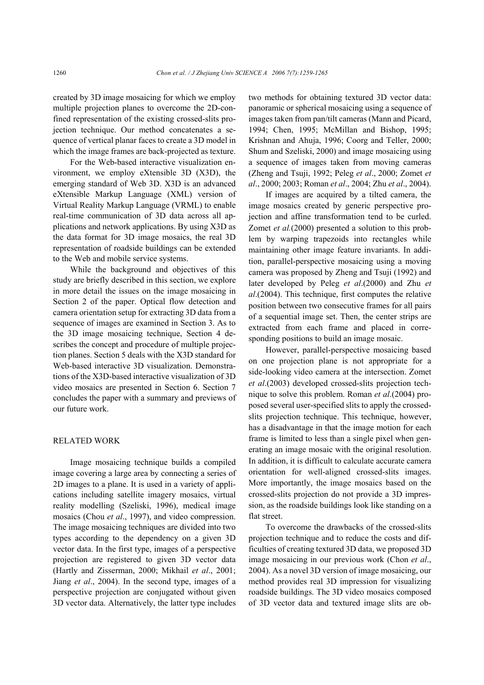created by 3D image mosaicing for which we employ multiple projection planes to overcome the 2D-confined representation of the existing crossed-slits projection technique. Our method concatenates a sequence of vertical planar faces to create a 3D model in which the image frames are back-projected as texture.

For the Web-based interactive visualization environment, we employ eXtensible 3D (X3D), the emerging standard of Web 3D. X3D is an advanced eXtensible Markup Language (XML) version of Virtual Reality Markup Language (VRML) to enable real-time communication of 3D data across all applications and network applications. By using X3D as the data format for 3D image mosaics, the real 3D representation of roadside buildings can be extended to the Web and mobile service systems.

While the background and objectives of this study are briefly described in this section, we explore in more detail the issues on the image mosaicing in Section 2 of the paper. Optical flow detection and camera orientation setup for extracting 3D data from a sequence of images are examined in Section 3. As to the 3D image mosaicing technique, Section 4 describes the concept and procedure of multiple projection planes. Section 5 deals with the X3D standard for Web-based interactive 3D visualization. Demonstrations of the X3D-based interactive visualization of 3D video mosaics are presented in Section 6. Section 7 concludes the paper with a summary and previews of our future work.

## RELATED WORK

Image mosaicing technique builds a compiled image covering a large area by connecting a series of 2D images to a plane. It is used in a variety of applications including satellite imagery mosaics, virtual reality modelling (Szeliski, 1996), medical image mosaics (Chou *et al*., 1997), and video compression. The image mosaicing techniques are divided into two types according to the dependency on a given 3D vector data. In the first type, images of a perspective projection are registered to given 3D vector data (Hartly and Zisserman, 2000; Mikhail *et al*., 2001; Jiang *et al*., 2004). In the second type, images of a perspective projection are conjugated without given 3D vector data. Alternatively, the latter type includes

two methods for obtaining textured 3D vector data: panoramic or spherical mosaicing using a sequence of images taken from pan/tilt cameras (Mann and Picard, 1994; Chen, 1995; McMillan and Bishop, 1995; Krishnan and Ahuja, 1996; Coorg and Teller, 2000; Shum and Szeliski, 2000) and image mosaicing using a sequence of images taken from moving cameras (Zheng and Tsuji, 1992; Peleg *et al*., 2000; Zomet *et al*., 2000; 2003; Roman *et al*., 2004; Zhu *et al*., 2004).

If images are acquired by a tilted camera, the image mosaics created by generic perspective projection and affine transformation tend to be curled. Zomet *et al.*(2000) presented a solution to this problem by warping trapezoids into rectangles while maintaining other image feature invariants. In addition, parallel-perspective mosaicing using a moving camera was proposed by Zheng and Tsuji (1992) and later developed by Peleg *et al*.(2000) and Zhu *et al*.(2004). This technique, first computes the relative position between two consecutive frames for all pairs of a sequential image set. Then, the center strips are extracted from each frame and placed in corresponding positions to build an image mosaic.

However, parallel-perspective mosaicing based on one projection plane is not appropriate for a side-looking video camera at the intersection. Zomet *et al*.(2003) developed crossed-slits projection technique to solve this problem. Roman *et al*.(2004) proposed several user-specified slits to apply the crossedslits projection technique. This technique, however, has a disadvantage in that the image motion for each frame is limited to less than a single pixel when generating an image mosaic with the original resolution. In addition, it is difficult to calculate accurate camera orientation for well-aligned crossed-slits images. More importantly, the image mosaics based on the crossed-slits projection do not provide a 3D impression, as the roadside buildings look like standing on a flat street.

To overcome the drawbacks of the crossed-slits projection technique and to reduce the costs and difficulties of creating textured 3D data, we proposed 3D image mosaicing in our previous work (Chon *et al*., 2004). As a novel 3D version of image mosaicing, our method provides real 3D impression for visualizing roadside buildings. The 3D video mosaics composed of 3D vector data and textured image slits are ob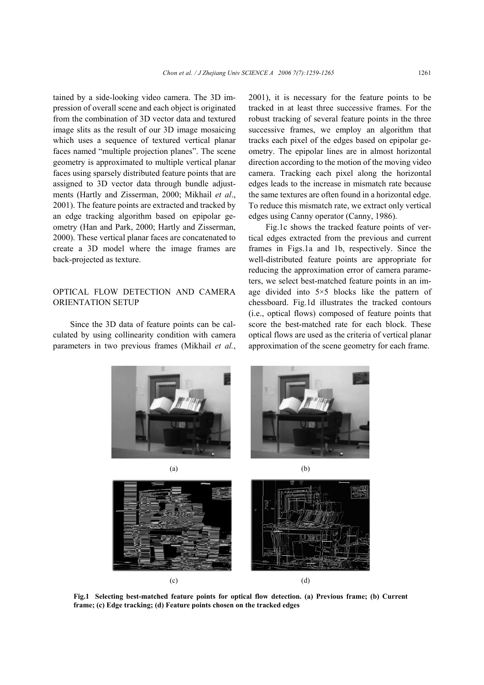tained by a side-looking video camera. The 3D impression of overall scene and each object is originated from the combination of 3D vector data and textured image slits as the result of our 3D image mosaicing which uses a sequence of textured vertical planar faces named "multiple projection planes". The scene geometry is approximated to multiple vertical planar faces using sparsely distributed feature points that are assigned to 3D vector data through bundle adjustments (Hartly and Zisserman, 2000; Mikhail *et al*., 2001). The feature points are extracted and tracked by an edge tracking algorithm based on epipolar geometry (Han and Park, 2000; Hartly and Zisserman, 2000). These vertical planar faces are concatenated to create a 3D model where the image frames are back-projected as texture.

## OPTICAL FLOW DETECTION AND CAMERA ORIENTATION SETUP

Since the 3D data of feature points can be calculated by using collinearity condition with camera parameters in two previous frames (Mikhail *et al.*, 2001), it is necessary for the feature points to be tracked in at least three successive frames. For the robust tracking of several feature points in the three successive frames, we employ an algorithm that tracks each pixel of the edges based on epipolar geometry. The epipolar lines are in almost horizontal direction according to the motion of the moving video camera. Tracking each pixel along the horizontal edges leads to the increase in mismatch rate because the same textures are often found in a horizontal edge. To reduce this mismatch rate, we extract only vertical edges using Canny operator (Canny, 1986).

Fig.1c shows the tracked feature points of vertical edges extracted from the previous and current frames in Figs.1a and 1b, respectively. Since the well-distributed feature points are appropriate for reducing the approximation error of camera parameters, we select best-matched feature points in an image divided into 5×5 blocks like the pattern of chessboard. Fig.1d illustrates the tracked contours (i.e., optical flows) composed of feature points that score the best-matched rate for each block. These optical flows are used as the criteria of vertical planar approximation of the scene geometry for each frame.



**Fig.1 Selecting best-matched feature points for optical flow detection. (a) Previous frame; (b) Current frame; (c) Edge tracking; (d) Feature points chosen on the tracked edges**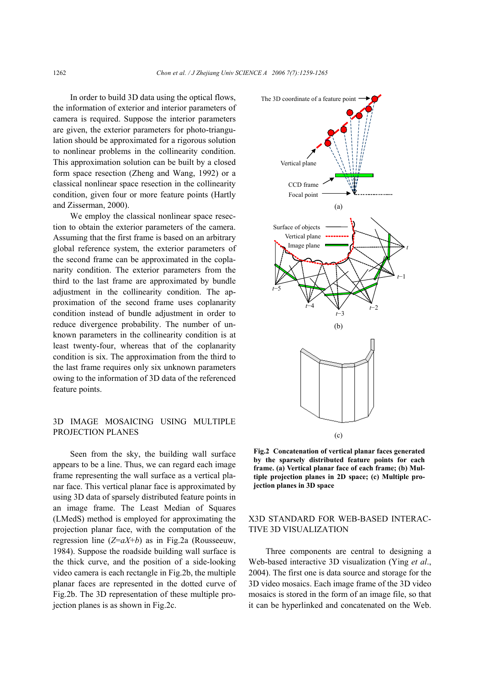In order to build 3D data using the optical flows, the information of exterior and interior parameters of camera is required. Suppose the interior parameters are given, the exterior parameters for photo-triangulation should be approximated for a rigorous solution to nonlinear problems in the collinearity condition. This approximation solution can be built by a closed form space resection (Zheng and Wang, 1992) or a classical nonlinear space resection in the collinearity condition, given four or more feature points (Hartly and Zisserman, 2000).

We employ the classical nonlinear space resection to obtain the exterior parameters of the camera. Assuming that the first frame is based on an arbitrary global reference system, the exterior parameters of the second frame can be approximated in the coplanarity condition. The exterior parameters from the third to the last frame are approximated by bundle adjustment in the collinearity condition. The approximation of the second frame uses coplanarity condition instead of bundle adjustment in order to reduce divergence probability. The number of unknown parameters in the collinearity condition is at least twenty-four, whereas that of the coplanarity condition is six. The approximation from the third to the last frame requires only six unknown parameters owing to the information of 3D data of the referenced feature points.

### 3D IMAGE MOSAICING USING MULTIPLE PROJECTION PLANES

Seen from the sky, the building wall surface appears to be a line. Thus, we can regard each image frame representing the wall surface as a vertical planar face. This vertical planar face is approximated by using 3D data of sparsely distributed feature points in an image frame. The Least Median of Squares (LMedS) method is employed for approximating the projection planar face, with the computation of the regression line (*Z*=*aX*+*b*) as in Fig.2a (Rousseeuw, 1984). Suppose the roadside building wall surface is the thick curve, and the position of a side-looking video camera is each rectangle in Fig.2b, the multiple planar faces are represented in the dotted curve of Fig.2b. The 3D representation of these multiple projection planes is as shown in Fig.2c.



**Fig.2 Concatenation of vertical planar faces generated by the sparsely distributed feature points for each frame. (a) Vertical planar face of each frame; (b) Multiple projection planes in 2D space; (c) Multiple projection planes in 3D space** 

## X3D STANDARD FOR WEB-BASED INTERAC-TIVE 3D VISUALIZATION

Three components are central to designing a Web-based interactive 3D visualization (Ying *et al*., 2004). The first one is data source and storage for the 3D video mosaics. Each image frame of the 3D video mosaics is stored in the form of an image file, so that it can be hyperlinked and concatenated on the Web.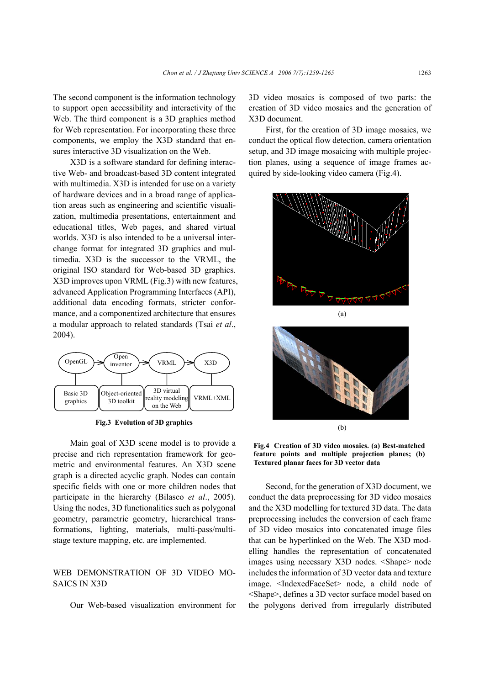The second component is the information technology to support open accessibility and interactivity of the Web. The third component is a 3D graphics method for Web representation. For incorporating these three components, we employ the X3D standard that ensures interactive 3D visualization on the Web.

X3D is a software standard for defining interactive Web- and broadcast-based 3D content integrated with multimedia. X3D is intended for use on a variety of hardware devices and in a broad range of application areas such as engineering and scientific visualization, multimedia presentations, entertainment and educational titles, Web pages, and shared virtual worlds. X3D is also intended to be a universal interchange format for integrated 3D graphics and multimedia. X3D is the successor to the VRML, the original ISO standard for Web-based 3D graphics. X3D improves upon VRML (Fig.3) with new features, advanced Application Programming Interfaces (API), additional data encoding formats, stricter conformance, and a componentized architecture that ensures a modular approach to related standards (Tsai *et al*., 2004).



**Fig.3 Evolution of 3D graphics**

Main goal of X3D scene model is to provide a precise and rich representation framework for geometric and environmental features. An X3D scene graph is a directed acyclic graph. Nodes can contain specific fields with one or more children nodes that participate in the hierarchy (Bilasco *et al*., 2005). Using the nodes, 3D functionalities such as polygonal geometry, parametric geometry, hierarchical transformations, lighting, materials, multi-pass/multistage texture mapping, etc. are implemented.

## WEB DEMONSTRATION OF 3D VIDEO MO-SAICS IN X3D

Our Web-based visualization environment for

3D video mosaics is composed of two parts: the creation of 3D video mosaics and the generation of X3D document.

First, for the creation of 3D image mosaics, we conduct the optical flow detection, camera orientation setup, and 3D image mosaicing with multiple projection planes, using a sequence of image frames acquired by side-looking video camera (Fig.4).





**Fig.4 Creation of 3D video mosaics. (a) Best-matched feature points and multiple projection planes; (b) Textured planar faces for 3D vector data**

Second, for the generation of X3D document, we conduct the data preprocessing for 3D video mosaics and the X3D modelling for textured 3D data. The data preprocessing includes the conversion of each frame of 3D video mosaics into concatenated image files that can be hyperlinked on the Web. The X3D modelling handles the representation of concatenated images using necessary X3D nodes. <Shape> node includes the information of 3D vector data and texture image. <IndexedFaceSet> node, a child node of <Shape>, defines a 3D vector surface model based on the polygons derived from irregularly distributed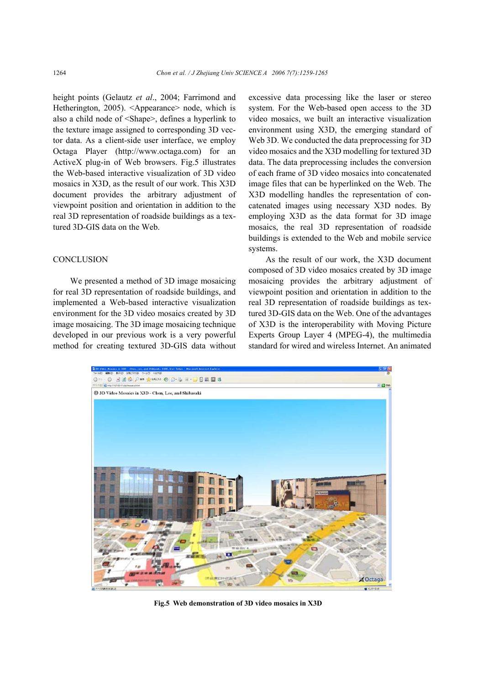height points (Gelautz *et al*., 2004; Farrimond and Hetherington, 2005). <Appearance> node, which is also a child node of <Shape>, defines a hyperlink to the texture image assigned to corresponding 3D vector data. As a client-side user interface, we employ Octaga Player (http://www.octaga.com) for an ActiveX plug-in of Web browsers. Fig.5 illustrates the Web-based interactive visualization of 3D video mosaics in X3D, as the result of our work. This X3D document provides the arbitrary adjustment of viewpoint position and orientation in addition to the real 3D representation of roadside buildings as a textured 3D-GIS data on the Web.

#### **CONCLUSION**

We presented a method of 3D image mosaicing for real 3D representation of roadside buildings, and implemented a Web-based interactive visualization environment for the 3D video mosaics created by 3D image mosaicing. The 3D image mosaicing technique developed in our previous work is a very powerful method for creating textured 3D-GIS data without

excessive data processing like the laser or stereo system. For the Web-based open access to the 3D video mosaics, we built an interactive visualization environment using X3D, the emerging standard of Web 3D. We conducted the data preprocessing for 3D video mosaics and the X3D modelling for textured 3D data. The data preprocessing includes the conversion of each frame of 3D video mosaics into concatenated image files that can be hyperlinked on the Web. The X3D modelling handles the representation of concatenated images using necessary X3D nodes. By employing X3D as the data format for 3D image mosaics, the real 3D representation of roadside buildings is extended to the Web and mobile service systems.

As the result of our work, the X3D document composed of 3D video mosaics created by 3D image mosaicing provides the arbitrary adjustment of viewpoint position and orientation in addition to the real 3D representation of roadside buildings as textured 3D-GIS data on the Web. One of the advantages of X3D is the interoperability with Moving Picture Experts Group Layer 4 (MPEG-4), the multimedia standard for wired and wireless Internet. An animated



**Fig.5 Web demonstration of 3D video mosaics in X3D**